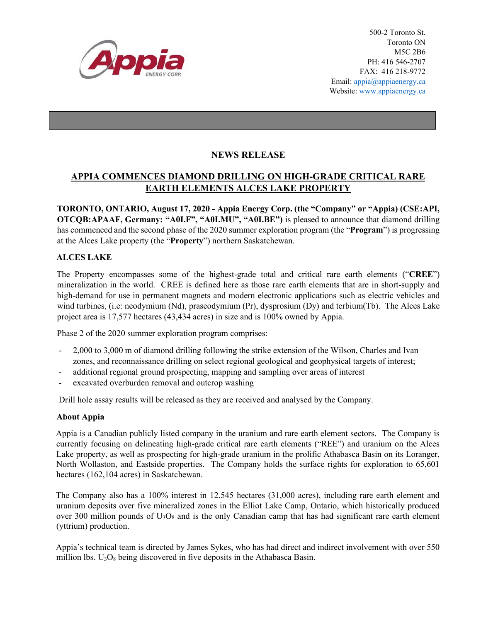

## **NEWS RELEASE**

## **APPIA COMMENCES DIAMOND DRILLING ON HIGH-GRADE CRITICAL RARE EARTH ELEMENTS ALCES LAKE PROPERTY**

**TORONTO, ONTARIO, August 17, 2020 - Appia Energy Corp. (the "Company" or "Appia) (CSE:API, OTCQB:APAAF, Germany: "A0I.F", "A0I.MU", "A0I.BE")** is pleased to announce that diamond drilling has commenced and the second phase of the 2020 summer exploration program (the "**Program**") is progressing at the Alces Lake property (the "**Property**") northern Saskatchewan.

## **ALCES LAKE**

The Property encompasses some of the highest-grade total and critical rare earth elements ("**CREE**") mineralization in the world. CREE is defined here as those rare earth elements that are in short-supply and high-demand for use in permanent magnets and modern electronic applications such as electric vehicles and wind turbines, (i.e: neodymium (Nd), praseodymium (Pr), dysprosium (Dy) and terbium(Tb). The Alces Lake project area is 17,577 hectares (43,434 acres) in size and is 100% owned by Appia.

Phase 2 of the 2020 summer exploration program comprises:

- 2,000 to 3,000 m of diamond drilling following the strike extension of the Wilson, Charles and Ivan zones, and reconnaissance drilling on select regional geological and geophysical targets of interest;
- additional regional ground prospecting, mapping and sampling over areas of interest
- excavated overburden removal and outcrop washing

Drill hole assay results will be released as they are received and analysed by the Company.

## **About Appia**

Appia is a Canadian publicly listed company in the uranium and rare earth element sectors. The Company is currently focusing on delineating high-grade critical rare earth elements ("REE") and uranium on the Alces Lake property, as well as prospecting for high-grade uranium in the prolific Athabasca Basin on its Loranger, North Wollaston, and Eastside properties. The Company holds the surface rights for exploration to 65,601 hectares (162,104 acres) in Saskatchewan.

The Company also has a 100% interest in 12,545 hectares (31,000 acres), including rare earth element and uranium deposits over five mineralized zones in the Elliot Lake Camp, Ontario, which historically produced over 300 million pounds of  $U_3O_8$  and is the only Canadian camp that has had significant rare earth element (yttrium) production.

Appia's technical team is directed by James Sykes, who has had direct and indirect involvement with over 550 million lbs.  $U_3O_8$  being discovered in five deposits in the Athabasca Basin.